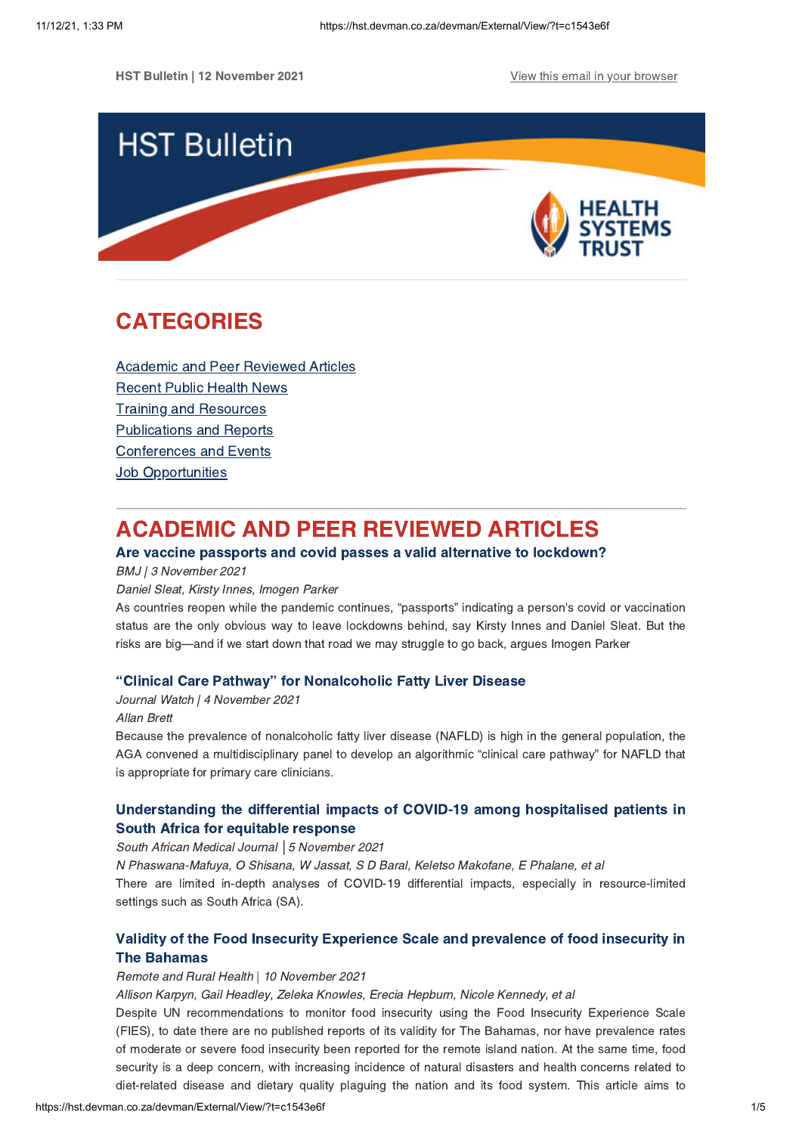**HST Bulletin | 12 November 2021 View this email in your [browser](https://hst.devman.co.za/devman/external/?t=3384b10f&t1=c1543e6f)** 



# <span id="page-0-1"></span>CATEGORIES

Academic and Peer [Reviewed](#page-0-0) Articles [Recent](#page-1-0) Public Health News Training and Resources [Publications](#page-3-0) and Reports [Conferences](#page-3-1) and Events **Job [Opportunities](#page-4-0)** 

# <span id="page-0-0"></span>ACADEMIC AND PEER REVIEWED ARTICLES

# Are vaccine passports and covid passes a valid alternative to [lockdown?](https://hst.devman.co.za/devman/external/?t=87c1fa1)

BMJ | 3 November 2021

#### Daniel Sleat, Kirsty Innes, Imogen Parker

As countries reopen while the pandemic continues, "passports" indicating a person's covid or vaccination status are the only obvious way to leave lockdowns behind, say Kirsty Innes and Daniel Sleat. But the risks are big—and if we start down that road we may struggle to go back, argues Imogen Parker

## "Clinical Care Pathway" for [Nonalcoholic](https://hst.devman.co.za/devman/external/?t=eddd6b6a) Fatty Liver Disease

Journal Watch | 4 November 2021

## Allan Brett

Because the prevalence of nonalcoholic fatty liver disease (NAFLD) is high in the general population, the AGA convened a multidisciplinary panel to develop an algorithmic "clinical care pathway" for NAFLD that is appropriate for primary care clinicians.

# [Understanding](https://hst.devman.co.za/devman/external/?t=11b5ee63) the differential impacts of COVID-19 among hospitalised patients in South Africa for equitable response

### South African Medical Journal *│*5 November 2021

N Phaswana-Mafuya, O Shisana, W Jassat, S D Baral, Keletso Makofane, E Phalane, et al

There are limited in-depth analyses of COVID-19 differential impacts, especially in resource-limited settings such as South Africa (SA).

# Validity of the Food Insecurity [Experience](https://hst.devman.co.za/devman/external/?t=ab0be44) Scale and prevalence of food insecurity in The Bahamas

#### Remote and Rural Health | 10 November 2021

Allison Karpyn, Gail Headley, Zeleka Knowles, Erecia Hepburn, Nicole Kennedy, et al

Despite UN recommendations to monitor food insecurity using the Food Insecurity Experience Scale (FIES), to date there are no published reports of its validity for The Bahamas, nor have prevalence rates of moderate or severe food insecurity been reported for the remote island nation. At the same time, food security is a deep concern, with increasing incidence of natural disasters and health concerns related to diet-related disease and dietary quality plaguing the nation and its food system. This article aims to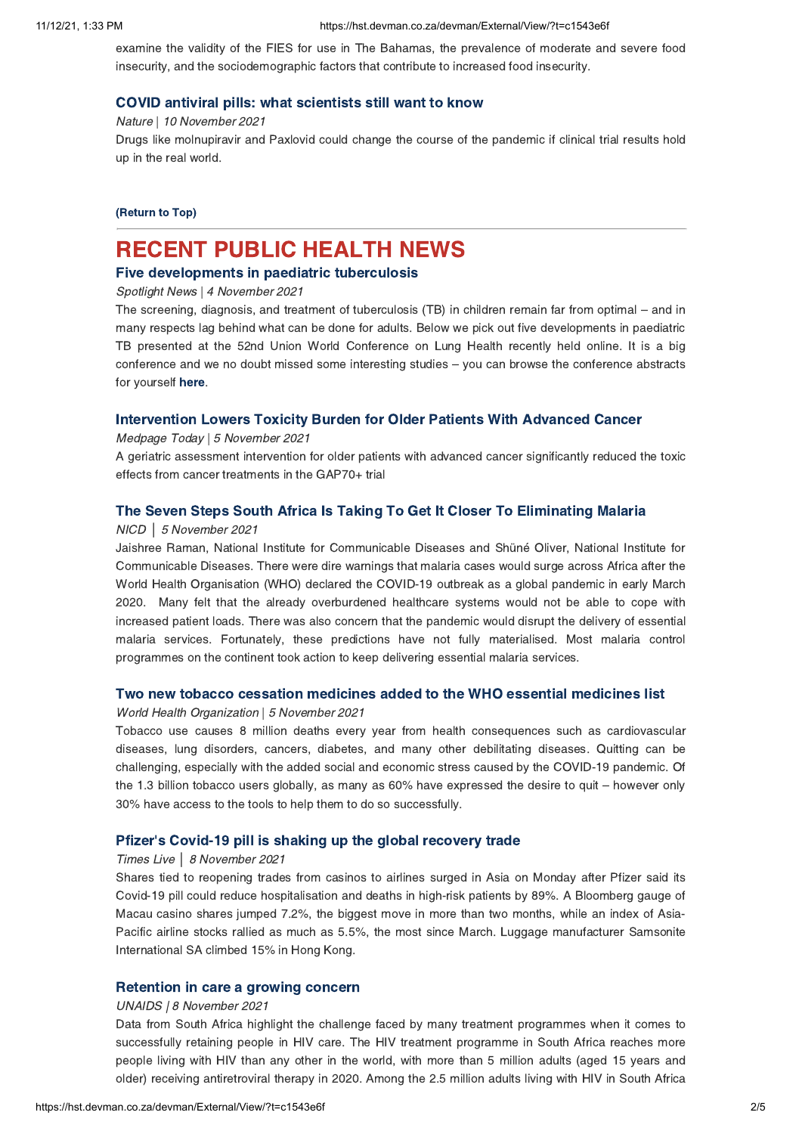examine the validity of the FIES for use in The Bahamas, the prevalence of moderate and severe food insecurity, and the sociodemographic factors that contribute to increased food insecurity.

### COVID antiviral pills: what [scientists](https://hst.devman.co.za/devman/external/?t=f72598fe) still want to know

Nature | 10 November 2021

Drugs like molnupiravir and Paxlovid could change the course of the pandemic if clinical trial results hold up in the real world.

[\(Return](#page-0-1) to Top)

# <span id="page-1-0"></span>RECENT PUBLIC HEALTH NEWS

## Five [developments](https://hst.devman.co.za/devman/external/?t=6908d16) in paediatric tuberculosis

Spotlight News | 4 November 2021

The screening, diagnosis, and treatment of tuberculosis (TB) in children remain far from optimal – and in many respects lag behind what can be done for adults. Below we pick out five developments in paediatric TB presented at the 52nd Union World Conference on Lung Health recently held online. It is a big conference and we no doubt missed some interesting studies – you can browse the conference abstracts for yourself [here.](https://hst.devman.co.za/devman/external/?t=fafe8c4f)

## [Intervention](https://hst.devman.co.za/devman/external/?t=ec0299a1) Lowers Toxicity Burden for Older Patients With Advanced Cancer

#### Medpage Today | 5 November 2021

A geriatric assessment intervention for older patients with advanced cancer significantly reduced the toxic effects from cancer treatments in the GAP70+ trial

## The Seven Steps South Africa Is Taking To Get It Closer To [Eliminating](https://hst.devman.co.za/devman/external/?t=f749ffb9) Malaria

#### NICD │ 5 November 2021

Jaishree Raman, National Institute for Communicable Diseases and Shüné Oliver, National Institute for Communicable Diseases. There were dire warnings that malaria cases would surge across Africa after the World Health Organisation (WHO) declared the COVID-19 outbreak as a global pandemic in early March 2020. Many felt that the already overburdened healthcare systems would not be able to cope with increased patient loads. There was also concern that the pandemic would disrupt the delivery of essential malaria services. Fortunately, these predictions have not fully materialised. Most malaria control programmes on the continent took action to keep delivering essential malaria services.

#### Two new tobacco cessation [medicines](https://hst.devman.co.za/devman/external/?t=fd8fe122) added to the WHO essential medicines list

#### World Health Organization | 5 November 2021

Tobacco use causes 8 million deaths every year from health consequences such as cardiovascular diseases, lung disorders, cancers, diabetes, and many other debilitating diseases. Quitting can be challenging, especially with the added social and economic stress caused by the COVID-19 pandemic. Of the 1.3 billion tobacco users globally, as many as 60% have expressed the desire to quit – however only 30% have access to the tools to help them to do so successfully.

## Pfizer's [Covid-19](https://hst.devman.co.za/devman/external/?t=d8bc4ce3) pill is shaking up the global recovery trade

#### Times Live *│* 8 November 2021

Shares tied to reopening trades from casinos to airlines surged in Asia on Monday after Pfizer said its Covid-19 pill could reduce hospitalisation and deaths in high-risk patients by 89%. A Bloomberg gauge of Macau casino shares jumped 7.2%, the biggest move in more than two months, while an index of Asia-Pacific airline stocks rallied as much as 5.5%, the most since March. Luggage manufacturer Samsonite International SA climbed 15% in Hong Kong.

#### [Retention](https://hst.devman.co.za/devman/external/?t=be1d98ac) in care a growing concern

#### UNAIDS | 8 November 2021

Data from South Africa highlight the challenge faced by many treatment programmes when it comes to successfully retaining people in HIV care. The HIV treatment programme in South Africa reaches more people living with HIV than any other in the world, with more than 5 million adults (aged 15 years and older) receiving antiretroviral therapy in 2020. Among the 2.5 million adults living with HIV in South Africa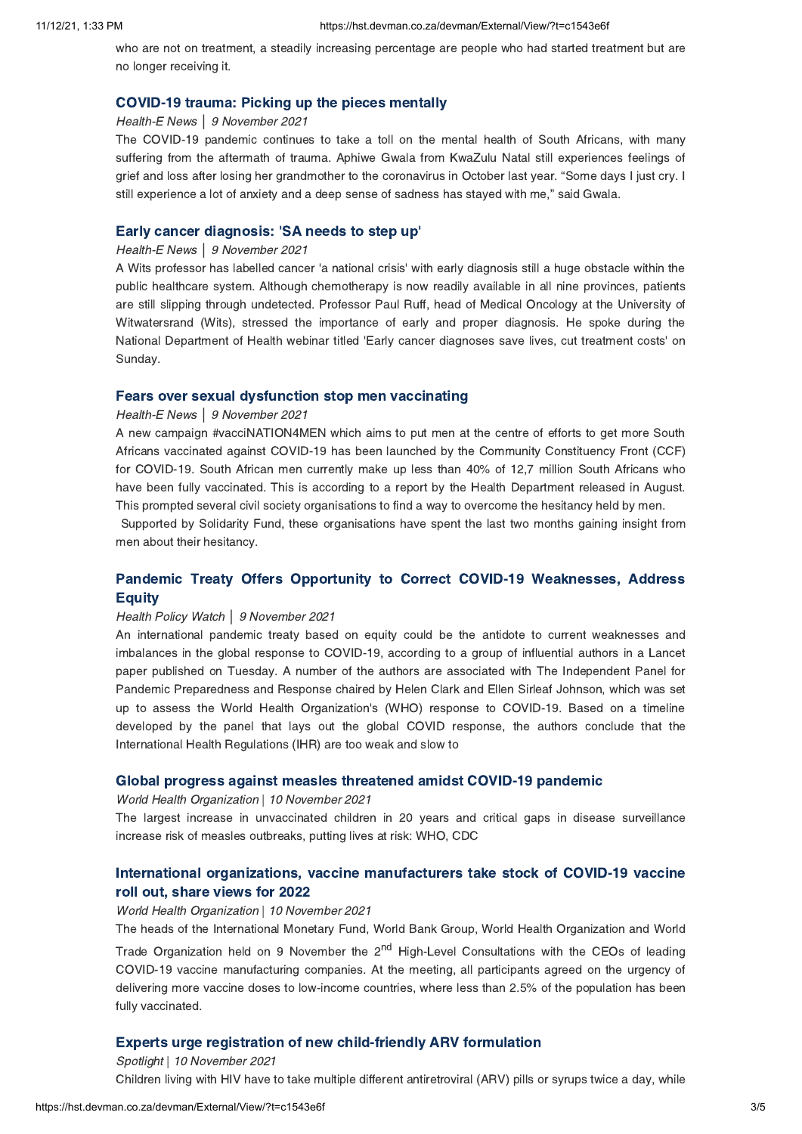who are not on treatment, a steadily increasing percentage are people who had started treatment but are no longer receiving it.

#### [COVID-19](https://hst.devman.co.za/devman/external/?t=e1f61ba5) trauma: Picking up the pieces mentally

#### Health-E News *│* 9 November 2021

The COVID-19 pandemic continues to take a toll on the mental health of South Africans, with many suffering from the aftermath of trauma. Aphiwe Gwala from KwaZulu Natal still experiences feelings of grief and loss after losing her grandmother to the coronavirus in October last year. "Some days I just cry. I still experience a lot of anxiety and a deep sense of sadness has stayed with me," said Gwala.

### Early cancer [diagnosis:](https://hst.devman.co.za/devman/external/?t=daf0eb86) 'SA needs to step up'

#### Health-E News *│* 9 November 2021

A Wits professor has labelled cancer 'a national crisis' with early diagnosis still a huge obstacle within the public healthcare system. Although chemotherapy is now readily available in all nine provinces, patients are still slipping through undetected. Professor Paul Ruff, head of Medical Oncology at the University of Witwatersrand (Wits), stressed the importance of early and proper diagnosis. He spoke during the National Department of Health webinar titled 'Early cancer diagnoses save lives, cut treatment costs' on Sunday.

### Fears over sexual [dysfunction](https://hst.devman.co.za/devman/external/?t=c765c640) stop men vaccinating

#### Health-E News *│* 9 November 2021

A new campaign #vacciNATION4MEN which aims to put men at the centre of efforts to get more South Africans vaccinated against COVID-19 has been launched by the Community Constituency Front (CCF) for COVID-19. South African men currently make up less than 40% of 12,7 million South Africans who have been fully vaccinated. This is according to a report by the Health Department released in August. This prompted several civil society organisations to find a way to overcome the hesitancy held by men.

Supported by Solidarity Fund, these organisations have spent the last two months gaining insight from men about their hesitancy.

# Pandemic Treaty Offers Opportunity to Correct COVID-19 [Weaknesses,](https://hst.devman.co.za/devman/external/?t=d6d0ba58) Address **Equity**

### Health Policy Watch *│* 9 November 2021

An international pandemic treaty based on equity could be the antidote to current weaknesses and imbalances in the global response to COVID-19, according to a group of influential authors in a Lancet paper published on Tuesday. A number of the authors are associated with The Independent Panel for Pandemic Preparedness and Response chaired by Helen Clark and Ellen Sirleaf Johnson, which was set up to assess the World Health Organization's (WHO) response to COVID-19. Based on a timeline developed by the panel that lays out the global COVID response, the authors conclude that the International Health Regulations (IHR) are too weak and slow to

#### Global progress against measles [threatened](https://hst.devman.co.za/devman/external/?t=cb3eb991) amidst COVID-19 pandemic

#### World Health Organization | 10 November 2021

The largest increase in unvaccinated children in 20 years and critical gaps in disease surveillance increase risk of measles outbreaks, putting lives at risk: WHO, CDC

## International organizations, vaccine [manufacturers](https://hst.devman.co.za/devman/external/?t=bc42c6e3) take stock of COVID-19 vaccine roll out, share views for 2022

#### World Health Organization | 10 November 2021

The heads of the International Monetary Fund, World Bank Group, World Health Organization and World Trade Organization held on 9 November the 2<sup>nd</sup> High-Level Consultations with the CEOs of leading COVID-19 vaccine manufacturing companies. At the meeting, all participants agreed on the urgency of delivering more vaccine doses to low-income countries, where less than 2.5% of the population has been fully vaccinated.

### Experts urge registration of new [child-friendly](https://hst.devman.co.za/devman/external/?t=c78a2cfb) ARV formulation

Spotlight | 10 November 2021 Children living with HIV have to take multiple different antiretroviral (ARV) pills or syrups twice a day, while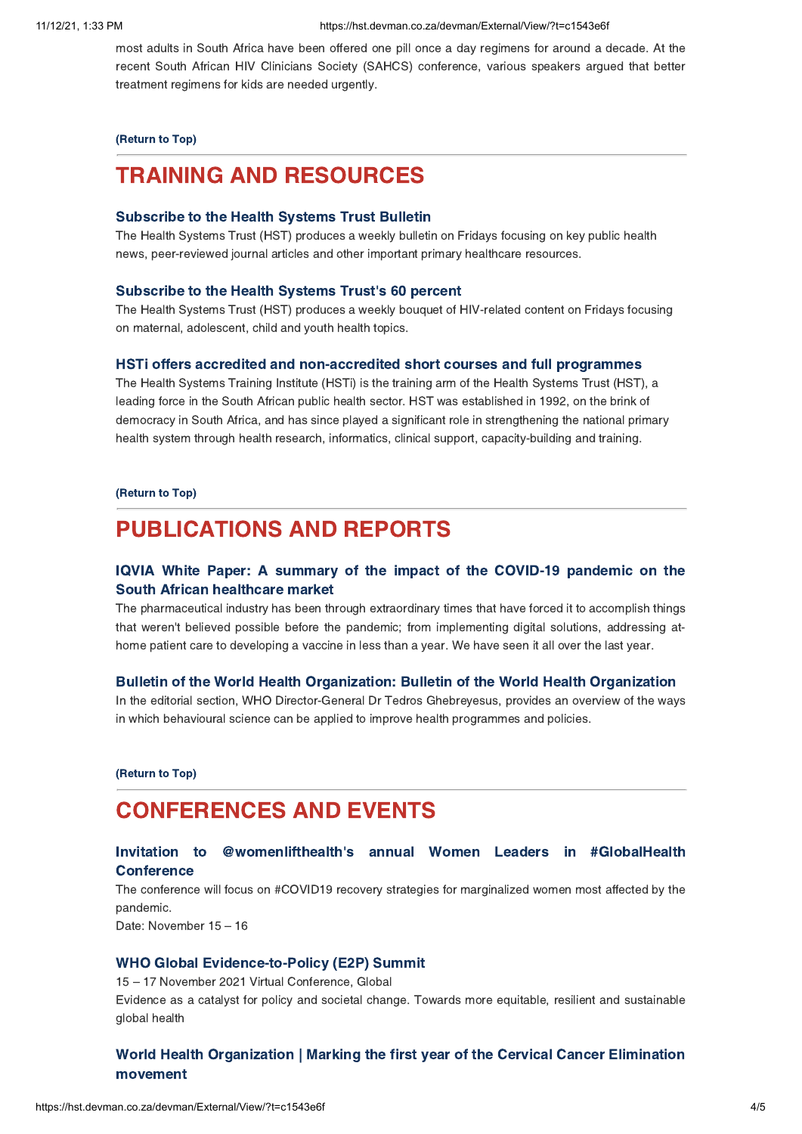most adults in South Africa have been offered one pill once a day regimens for around a decade. At the recent South African HIV Clinicians Society (SAHCS) conference, various speakers argued that better treatment regimens for kids are needed urgently.

### [\(Return](#page-0-1) to Top)

# <span id="page-3-0"></span>TRAINING AND RESOURCES

## [Subscribe](https://hst.devman.co.za/devman/external/?t=cdd00e64) to the Health Systems Trust Bulletin

The Health Systems Trust (HST) produces a weekly bulletin on Fridays focusing on key public health news, peer-reviewed journal articles and other important primary healthcare resources.

#### [Subscribe](https://hst.devman.co.za/devman/external/?t=cdd00e64) to the Health Systems Trust's 60 percent

The Health Systems Trust (HST) produces a weekly bouquet of HIV-related content on Fridays focusing on maternal, adolescent, child and youth health topics.

#### HSTi offers accredited and [non-accredited](https://hst.devman.co.za/devman/external/?t=286328e2) short courses and full programmes

The Health Systems Training Institute (HSTi) is the training arm of the Health Systems Trust (HST), a leading force in the South African public health sector. HST was established in 1992, on the brink of democracy in South Africa, and has since played a significant role in strengthening the national primary health system through health research, informatics, clinical support, capacity-building and training.

#### [\(Return](#page-0-1) to Top)

# PUBLICATIONS AND REPORTS

## IQVIA White Paper: A summary of the impact of the COVID-19 [pandemic](https://hst.devman.co.za/devman/external/?t=dc474ab) on the South African healthcare market

The pharmaceutical industry has been through extraordinary times that have forced it to accomplish things that weren't believed possible before the pandemic; from implementing digital solutions, addressing athome patient care to developing a vaccine in less than a year. We have seen it all over the last year.

#### Bulletin of the World Health [Organization:](https://hst.devman.co.za/devman/external/?t=319cf7a4) Bulletin of the World Health Organization

In the editorial section, WHO Director-General Dr Tedros Ghebreyesus, provides an overview of the ways in which behavioural science can be applied to improve health programmes and policies.

[\(Return](#page-0-1) to Top)

# <span id="page-3-1"></span>CONFERENCES AND EVENTS

## Invitation to [@womenlifthealth's](https://hst.devman.co.za/devman/external/?t=2a97c785) annual Women Leaders in #GlobalHealth **Conference**

The conference will focus on #COVID19 recovery strategies for marginalized women most affected by the pandemic.

Date: November 15 – 16

## WHO Global [Evidence-to-Policy](https://hst.devman.co.za/devman/external/?t=170ca23f) (E2P) Summit

15 – 17 November 2021 Virtual Conference, Global Evidence as a catalyst for policy and societal change. Towards more equitable, resilient and sustainable global health

# World Health [Organization](https://hst.devman.co.za/devman/external/?t=26779657) | Marking the first year of the Cervical Cancer Elimination movement